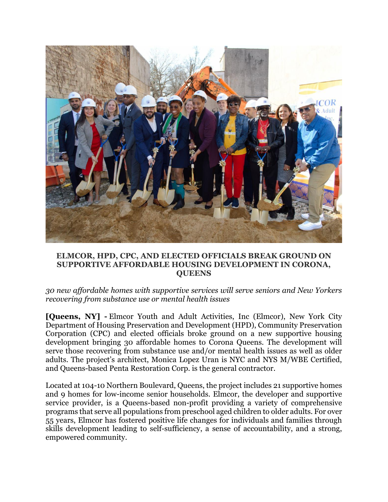

## **ELMCOR, HPD, CPC, AND ELECTED OFFICIALS BREAK GROUND ON SUPPORTIVE AFFORDABLE HOUSING DEVELOPMENT IN CORONA, QUEENS**

*30 new affordable homes with supportive services will serve seniors and New Yorkers recovering from substance use or mental health issues*

**[Queens, NY] -** Elmcor Youth and Adult Activities, Inc (Elmcor), New York City Department of Housing Preservation and Development (HPD), Community Preservation Corporation (CPC) and elected officials broke ground on a new supportive housing development bringing 30 affordable homes to Corona Queens. The development will serve those recovering from substance use and/or mental health issues as well as older adults. The project's architect, Monica Lopez Uran is NYC and NYS M/WBE Certified, and Queens-based Penta Restoration Corp. is the general contractor.

Located at 104-10 Northern Boulevard, Queens, the project includes 21 supportive homes and 9 homes for low-income senior households. Elmcor, the developer and supportive service provider, is a Queens-based non-profit providing a variety of comprehensive programs that serve all populations from preschool aged children to older adults. For over 55 years, Elmcor has fostered positive life changes for individuals and families through skills development leading to self-sufficiency, a sense of accountability, and a strong, empowered community.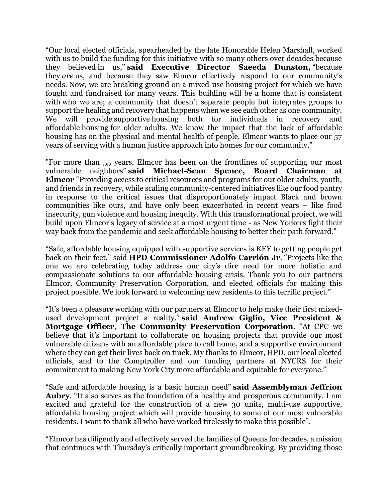"Our local elected officials, spearheaded by the late Honorable Helen Marshall, worked with us to build the funding for this initiative with so many others over decades because they believed in us," **said Executive Director Saeeda Dunston,** "because they *are* us, and because they saw Elmcor effectively respond to our community's needs. Now, we are breaking ground on a mixed-use housing project for which we have fought and fundraised for many years. This building will be a home that is consistent with who we are; a community that doesn't separate people but integrates groups to support the healing and recovery that happens when we see each other as one community. We will provide supportive housing both for individuals in recovery and affordable housing for older adults. We know the impact that the lack of affordable housing has on the physical and mental health of people. Elmcor wants to place our 57 years of serving with a human justice approach into homes for our community."

"For more than 55 years, Elmcor has been on the frontlines of supporting our most vulnerable neighbors" **said Michael-Sean Spence, Board Chairman at Elmcor** "Providing access to critical resources and programs for our older adults, youth, and friends in recovery, while scaling community-centered initiatives like our food pantry in response to the critical issues that disproportionately impact Black and brown communities like ours, and have only been exacerbated in recent years – like food insecurity, gun violence and housing inequity. With this transformational project, we will build upon Elmcor's legacy of service at a most urgent time - as New Yorkers fight their way back from the pandemic and seek affordable housing to better their path forward."

"Safe, affordable housing equipped with supportive services is KEY to getting people get back on their feet," said **HPD Commissioner Adolfo Carrión Jr**. "Projects like the one we are celebrating today address our city's dire need for more holistic and compassionate solutions to our affordable housing crisis. Thank you to our partners Elmcor, Community Preservation Corporation, and elected officials for making this project possible. We look forward to welcoming new residents to this terrific project."

"It's been a pleasure working with our partners at Elmcor to help make their first mixedused development project a reality," **said Andrew Giglio, Vice President & Mortgage Officer, The Community Preservation Corporation**. "At CPC we believe that it's important to collaborate on housing projects that provide our most vulnerable citizens with an affordable place to call home, and a supportive environment where they can get their lives back on track. My thanks to Elmcor, HPD, our local elected officials, and to the Comptroller and our funding partners at NYCRS for their commitment to making New York City more affordable and equitable for everyone."

"Safe and affordable housing is a basic human need" **said Assemblyman Jeffrion Aubry**. "It also serves as the foundation of a healthy and prosperous community. I am excited and grateful for the construction of a new 30 units, multi-use supportive, affordable housing project which will provide housing to some of our most vulnerable residents. I want to thank all who have worked tirelessly to make this possible".

"Elmcor has diligently and effectively served the families of Queens for decades, a mission that continues with Thursday's critically important groundbreaking. By providing those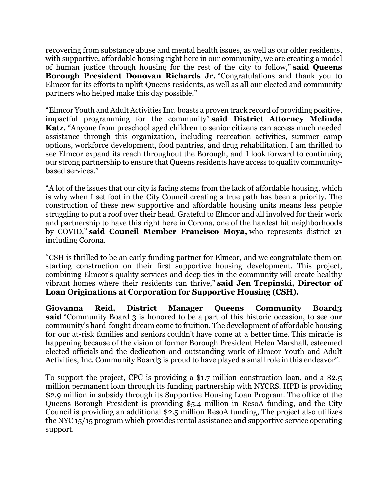recovering from substance abuse and mental health issues, as well as our older residents, with supportive, affordable housing right here in our community, we are creating a model of human justice through housing for the rest of the city to follow," **said Queens Borough President Donovan Richards Jr.** "Congratulations and thank you to Elmcor for its efforts to uplift Queens residents, as well as all our elected and community partners who helped make this day possible."

"Elmcor Youth and Adult Activities Inc. boasts a proven track record of providing positive, impactful programming for the community" **said District Attorney Melinda Katz.** "Anyone from preschool aged children to senior citizens can access much needed assistance through this organization, including recreation activities, summer camp options, workforce development, food pantries, and drug rehabilitation. I am thrilled to see Elmcor expand its reach throughout the Borough, and I look forward to continuing our strong partnership to ensure that Queens residents have access to quality communitybased services."

"A lot of the issues that our city is facing stems from the lack of affordable housing, which is why when I set foot in the City Council creating a true path has been a priority. The construction of these new supportive and affordable housing units means less people struggling to put a roof over their head. Grateful to Elmcor and all involved for their work and partnership to have this right here in Corona, one of the hardest hit neighborhoods by COVID," **said Council Member Francisco Moya,** who represents district 21 including Corona.

"CSH is thrilled to be an early funding partner for Elmcor, and we congratulate them on starting construction on their first supportive housing development. This project, combining Elmcor's quality services and deep ties in the community will create healthy vibrant homes where their residents can thrive," **said Jen Trepinski, Director of Loan Originations at Corporation for Supportive Housing (CSH).**

**Giovanna Reid, District Manager Queens Community Board3 said** "Community Board 3 is honored to be a part of this historic occasion, to see our community's hard-fought dream come to fruition. The development of affordable housing for our at-risk families and seniors couldn't have come at a better time. This miracle is happening because of the vision of former Borough President Helen Marshall, esteemed elected officials and the dedication and outstanding work of Elmcor Youth and Adult Activities, Inc. Community Board3 is proud to have played a small role in this endeavor".

To support the project, CPC is providing a \$1.7 million construction loan, and a \$2.5 million permanent loan through its funding partnership with NYCRS. HPD is providing \$2.9 million in subsidy through its Supportive Housing Loan Program. The office of the Queens Borough President is providing \$5.4 million in ResoA funding, and the City Council is providing an additional \$2.5 million ResoA funding, The project also utilizes the NYC 15/15 program which provides rental assistance and supportive service operating support.